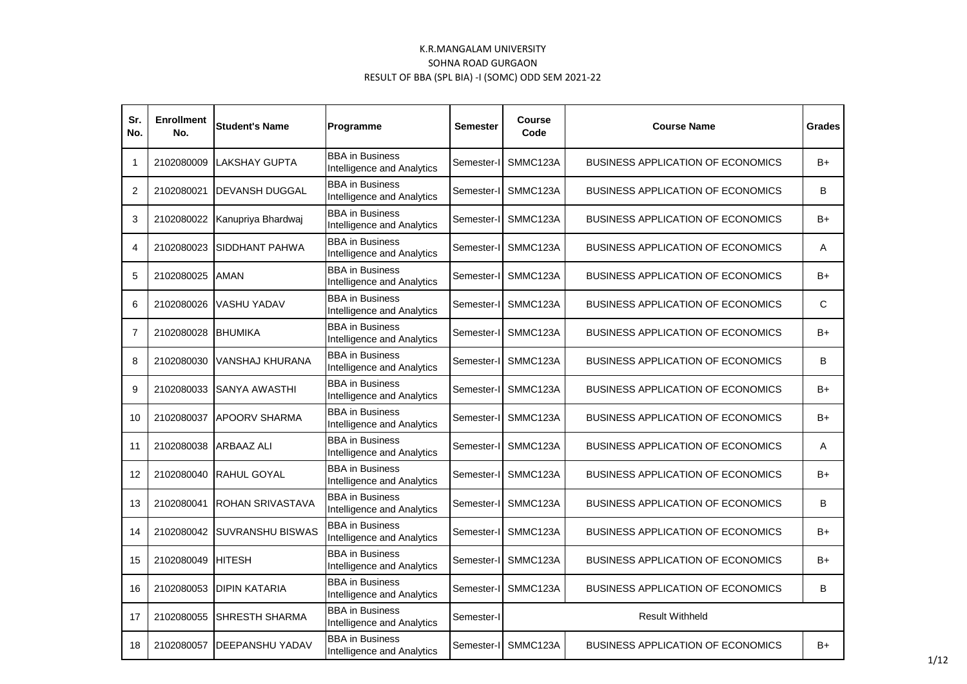| Sr.<br>No.   | <b>Enrollment</b><br>No. | <b>Student's Name</b>      | Programme                                            | <b>Semester</b> | Course<br>Code | <b>Course Name</b>                       | <b>Grades</b> |
|--------------|--------------------------|----------------------------|------------------------------------------------------|-----------------|----------------|------------------------------------------|---------------|
| $\mathbf{1}$ | 2102080009               | <b>LAKSHAY GUPTA</b>       | <b>BBA</b> in Business<br>Intelligence and Analytics | Semester-I      | SMMC123A       | <b>BUSINESS APPLICATION OF ECONOMICS</b> | $B+$          |
| 2            | 2102080021               | <b>DEVANSH DUGGAL</b>      | <b>BBA</b> in Business<br>Intelligence and Analytics | Semester-I      | SMMC123A       | <b>BUSINESS APPLICATION OF ECONOMICS</b> | B             |
| 3            | 2102080022               | Kanupriya Bhardwaj         | <b>BBA</b> in Business<br>Intelligence and Analytics | Semester-I      | SMMC123A       | <b>BUSINESS APPLICATION OF ECONOMICS</b> | B+            |
| 4            | 2102080023               | <b>SIDDHANT PAHWA</b>      | <b>BBA</b> in Business<br>Intelligence and Analytics | Semester-I      | SMMC123A       | BUSINESS APPLICATION OF ECONOMICS        | A             |
| 5            | 2102080025 AMAN          |                            | <b>BBA</b> in Business<br>Intelligence and Analytics | Semester-I      | SMMC123A       | <b>BUSINESS APPLICATION OF ECONOMICS</b> | B+            |
| 6            | 2102080026               | <b>VASHU YADAV</b>         | <b>BBA</b> in Business<br>Intelligence and Analytics | Semester-II     | SMMC123A       | <b>BUSINESS APPLICATION OF ECONOMICS</b> | C             |
| 7            | 2102080028               | <b>IBHUMIKA</b>            | <b>BBA</b> in Business<br>Intelligence and Analytics | Semester-II     | SMMC123A       | BUSINESS APPLICATION OF ECONOMICS        | B+            |
| 8            | 2102080030               | VANSHAJ KHURANA            | <b>BBA</b> in Business<br>Intelligence and Analytics | Semester-I      | SMMC123A       | <b>BUSINESS APPLICATION OF ECONOMICS</b> | B             |
| 9            | 2102080033               | SANYA AWASTHI              | <b>BBA</b> in Business<br>Intelligence and Analytics | Semester-I      | SMMC123A       | <b>BUSINESS APPLICATION OF ECONOMICS</b> | B+            |
| 10           | 2102080037               | APOORV SHARMA              | <b>BBA</b> in Business<br>Intelligence and Analytics | Semester-I      | SMMC123A       | BUSINESS APPLICATION OF ECONOMICS        | B+            |
| 11           | 2102080038               | <b>ARBAAZ ALI</b>          | <b>BBA</b> in Business<br>Intelligence and Analytics | Semester-I      | SMMC123A       | BUSINESS APPLICATION OF ECONOMICS        | A             |
| 12           | 2102080040               | <b>RAHUL GOYAL</b>         | <b>BBA</b> in Business<br>Intelligence and Analytics | Semester-I      | SMMC123A       | <b>BUSINESS APPLICATION OF ECONOMICS</b> | B+            |
| 13           | 2102080041               | <b>ROHAN SRIVASTAVA</b>    | <b>BBA</b> in Business<br>Intelligence and Analytics | Semester-I      | SMMC123A       | <b>BUSINESS APPLICATION OF ECONOMICS</b> | B             |
| 14           | 2102080042               | <b>I</b> SUVRANSHU BISWAS  | <b>BBA</b> in Business<br>Intelligence and Analytics | Semester-II     | SMMC123A       | BUSINESS APPLICATION OF ECONOMICS        | B+            |
| 15           | 2102080049               | <b>HITESH</b>              | <b>BBA</b> in Business<br>Intelligence and Analytics | Semester-I      | SMMC123A       | <b>BUSINESS APPLICATION OF ECONOMICS</b> | B+            |
| 16           | 2102080053               | <b>DIPIN KATARIA</b>       | <b>BBA</b> in Business<br>Intelligence and Analytics | Semester-I      | SMMC123A       | <b>BUSINESS APPLICATION OF ECONOMICS</b> | В             |
| 17           | 2102080055               | <b>SHRESTH SHARMA</b>      | <b>BBA</b> in Business<br>Intelligence and Analytics | Semester-I      |                | <b>Result Withheld</b>                   |               |
| 18           |                          | 2102080057 DEEPANSHU YADAV | <b>BBA</b> in Business<br>Intelligence and Analytics | Semester-I      | SMMC123A       | <b>BUSINESS APPLICATION OF ECONOMICS</b> | B+            |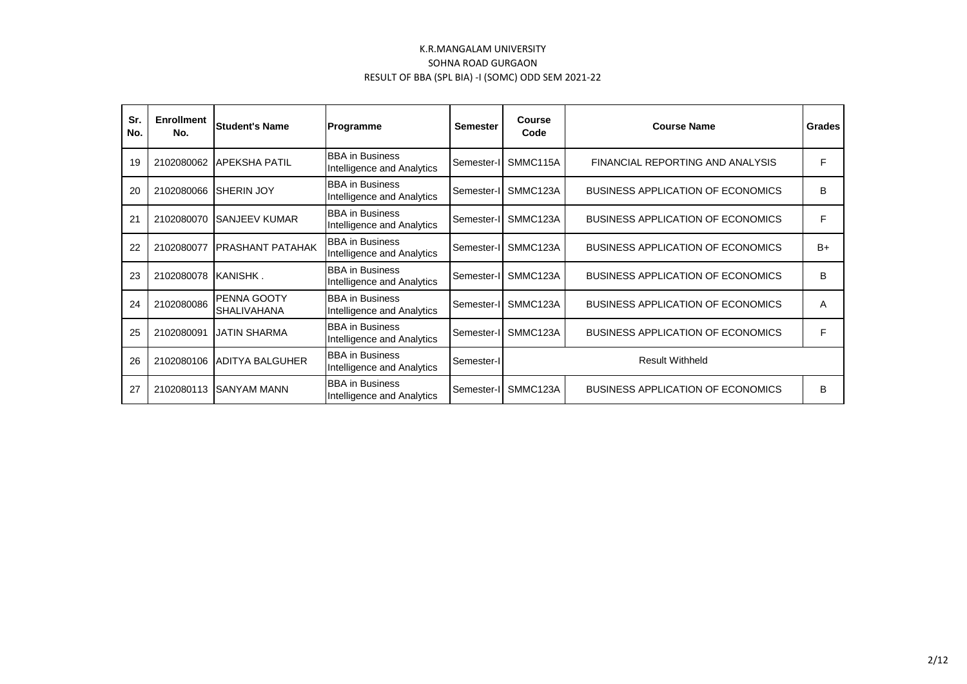| Sr.<br>No. | <b>Enrollment</b><br>No. | <b>Student's Name</b>                    | <b>Programme</b>                                     | <b>Semester</b> | Course<br>Code | <b>Course Name</b>                       | Grades       |
|------------|--------------------------|------------------------------------------|------------------------------------------------------|-----------------|----------------|------------------------------------------|--------------|
| 19         | 2102080062               | <b>APEKSHA PATIL</b>                     | <b>BBA</b> in Business<br>Intelligence and Analytics | Semester-I      | SMMC115A       | FINANCIAL REPORTING AND ANALYSIS         | F            |
| 20         | 2102080066               | <b>SHERIN JOY</b>                        | <b>BBA</b> in Business<br>Intelligence and Analytics | Semester-I      | SMMC123A       | <b>BUSINESS APPLICATION OF ECONOMICS</b> | B            |
| 21         | 2102080070               | <b>I</b> SANJEEV KUMAR                   | <b>BBA</b> in Business<br>Intelligence and Analytics | Semester-I      | SMMC123A       | <b>BUSINESS APPLICATION OF ECONOMICS</b> | F            |
| 22         | 2102080077               | <b>IPRASHANT PATAHAK</b>                 | <b>BBA</b> in Business<br>Intelligence and Analytics | Semester-I      | SMMC123A       | <b>BUSINESS APPLICATION OF ECONOMICS</b> | $B+$         |
| 23         | 2102080078               | <b>IKANISHK.</b>                         | <b>BBA</b> in Business<br>Intelligence and Analytics | Semester-       | SMMC123A       | <b>BUSINESS APPLICATION OF ECONOMICS</b> | B            |
| 24         | 2102080086               | <b>PENNA GOOTY</b><br><b>SHALIVAHANA</b> | <b>BBA</b> in Business<br>Intelligence and Analytics | Semester-       | SMMC123A       | <b>BUSINESS APPLICATION OF ECONOMICS</b> | A            |
| 25         | 2102080091               | <b>JATIN SHARMA</b>                      | <b>BBA</b> in Business<br>Intelligence and Analytics | Semester-       | SMMC123A       | <b>BUSINESS APPLICATION OF ECONOMICS</b> | F            |
| 26         | 2102080106               | <b>ADITYA BALGUHER</b>                   | <b>BBA</b> in Business<br>Intelligence and Analytics | Semester-I      |                | <b>Result Withheld</b>                   |              |
| 27         | 2102080113               | <b>ISANYAM MANN</b>                      | <b>BBA</b> in Business<br>Intelligence and Analytics | Semester-I      | SMMC123A       | <b>BUSINESS APPLICATION OF ECONOMICS</b> | <sub>B</sub> |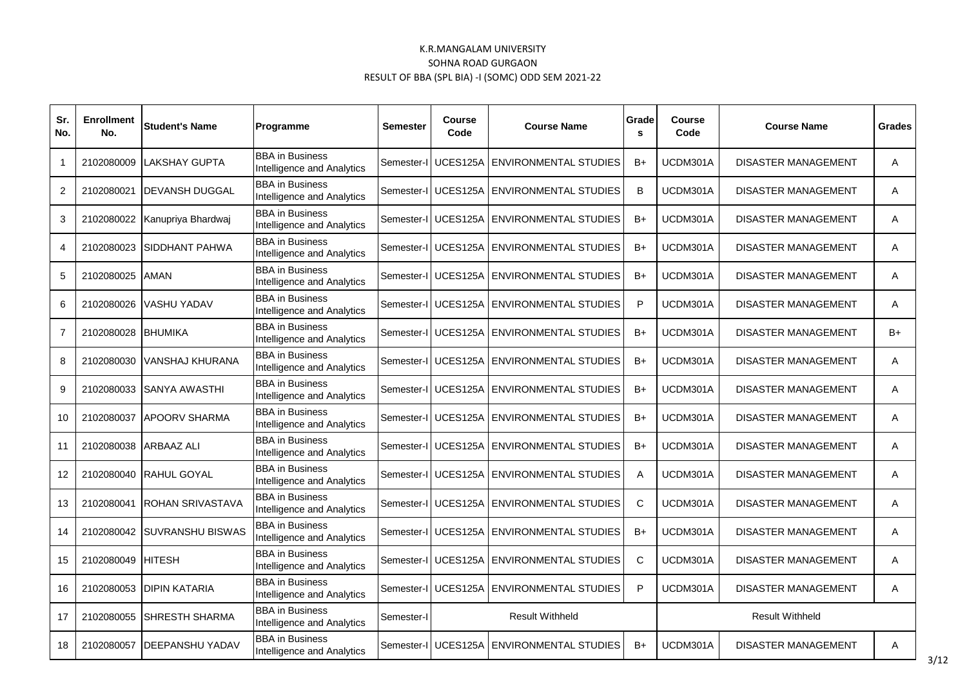| Sr.<br>No.     | <b>Enrollment</b><br>No. | <b>Student's Name</b>   | Programme                                            | Semester   | <b>Course</b><br><b>Course Name</b><br>Code |                                               | Grade<br>s | Course<br>Code | <b>Course Name</b>         | Grades |
|----------------|--------------------------|-------------------------|------------------------------------------------------|------------|---------------------------------------------|-----------------------------------------------|------------|----------------|----------------------------|--------|
|                | 2102080009               | LAKSHAY GUPTA           | <b>BBA</b> in Business<br>Intelligence and Analytics |            |                                             | Semester-II UCES125A   ENVIRONMENTAL STUDIES  | B+         | UCDM301A       | <b>DISASTER MANAGEMENT</b> | Α      |
| 2              | 2102080021               | <b>DEVANSH DUGGAL</b>   | <b>BBA in Business</b><br>Intelligence and Analytics |            |                                             | Semester-II UCES125A   ENVIRONMENTAL STUDIES  | B          | UCDM301A       | <b>DISASTER MANAGEMENT</b> | A      |
| 3              | 2102080022               | Kanupriya Bhardwaj      | <b>BBA in Business</b><br>Intelligence and Analytics |            |                                             | Semester-II UCES125A   ENVIRONMENTAL STUDIES  | B+         | UCDM301A       | DISASTER MANAGEMENT        | A      |
| 4              | 2102080023               | SIDDHANT PAHWA          | <b>BBA</b> in Business<br>Intelligence and Analytics | Semester-I |                                             | UCES125A ENVIRONMENTAL STUDIES                | $B+$       | UCDM301A       | DISASTER MANAGEMENT        | A      |
| 5              | 2102080025               | <b>AMAN</b>             | <b>BBA</b> in Business<br>Intelligence and Analytics |            |                                             |                                               | B+         | UCDM301A       | DISASTER MANAGEMENT        | A      |
| 6              | 2102080026               | VASHU YADAV             | <b>BBA in Business</b><br>Intelligence and Analytics |            |                                             | Semester-II UCES125A   ENVIRONMENTAL STUDIES  | P          | UCDM301A       | DISASTER MANAGEMENT        | A      |
| $\overline{7}$ | 2102080028               | <b>BHUMIKA</b>          | <b>BBA</b> in Business<br>Intelligence and Analytics |            |                                             | Semester-II UCES125A   ENVIRONMENTAL STUDIES  | $B+$       | UCDM301A       | <b>DISASTER MANAGEMENT</b> | $B+$   |
| 8              | 2102080030               | VANSHAJ KHURANA         | <b>BBA in Business</b><br>Intelligence and Analytics | Semester-I |                                             | UCES125A ENVIRONMENTAL STUDIES                | B+         | UCDM301A       | <b>DISASTER MANAGEMENT</b> | A      |
| 9              | 2102080033               | SANYA AWASTHI           | <b>BBA</b> in Business<br>Intelligence and Analytics | Semester-I |                                             | UCES125A ENVIRONMENTAL STUDIES                | B+         | UCDM301A       | DISASTER MANAGEMENT        | A      |
| 10             | 2102080037               | APOORV SHARMA           | <b>BBA</b> in Business<br>Intelligence and Analytics | Semester-  |                                             | UCES125A ENVIRONMENTAL STUDIES                | $B+$       | UCDM301A       | <b>DISASTER MANAGEMENT</b> | Α      |
| 11             | 2102080038               | ARBAAZ ALI              | <b>BBA in Business</b><br>Intelligence and Analytics | Semester-I |                                             | UCES125A ENVIRONMENTAL STUDIES                | B+         | UCDM301A       | <b>DISASTER MANAGEMENT</b> | A      |
| 12             | 2102080040               | RAHUL GOYAL             | BBA in Business<br>Intelligence and Analytics        |            |                                             | Semester-I   UCES125A   ENVIRONMENTAL STUDIES | A          | UCDM301A       | DISASTER MANAGEMENT        | A      |
| 13             | 2102080041               | <b>ROHAN SRIVASTAVA</b> | <b>BBA</b> in Business<br>Intelligence and Analytics |            |                                             | Semester-I   UCES125A   ENVIRONMENTAL STUDIES | C          | UCDM301A       | DISASTER MANAGEMENT        | Α      |
| 14             | 2102080042               | <b>SUVRANSHU BISWAS</b> | <b>BBA in Business</b><br>Intelligence and Analytics |            |                                             | Semester-II UCES125A   ENVIRONMENTAL STUDIES  | B+         | UCDM301A       | <b>DISASTER MANAGEMENT</b> | A      |
| 15             | 2102080049               | <b>HITESH</b>           | <b>BBA in Business</b><br>Intelligence and Analytics |            |                                             | Semester-I   UCES125A   ENVIRONMENTAL STUDIES | C          | UCDM301A       | DISASTER MANAGEMENT        | A      |
| 16             | 2102080053               | <b>DIPIN KATARIA</b>    | <b>BBA</b> in Business<br>Intelligence and Analytics | Semester-I |                                             | UCES125A ENVIRONMENTAL STUDIES                | P          | UCDM301A       | DISASTER MANAGEMENT        | Α      |
| 17             | 2102080055               | <b>SHRESTH SHARMA</b>   | <b>BBA</b> in Business<br>Intelligence and Analytics | Semester-I | <b>Result Withheld</b>                      |                                               |            |                | <b>Result Withheld</b>     |        |
| 18             | 2102080057               | <b>DEEPANSHU YADAV</b>  | <b>BBA</b> in Business<br>Intelligence and Analytics |            |                                             | Semester-I   UCES125A   ENVIRONMENTAL STUDIES | B+         | UCDM301A       | DISASTER MANAGEMENT        | A      |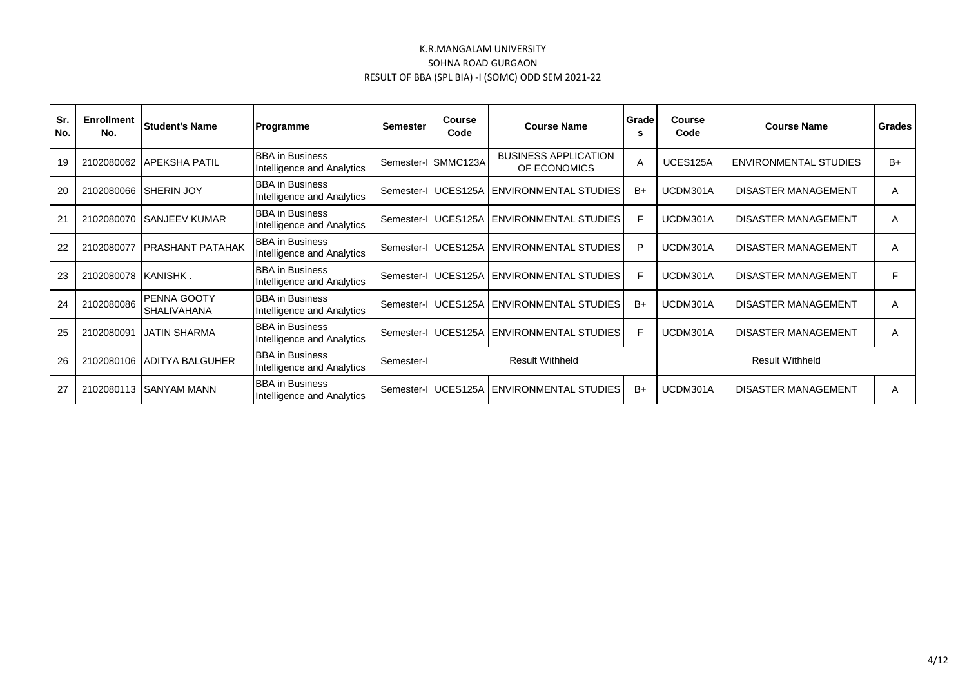| Sr.<br>No. | <b>Enrollment</b><br>No. | <b>Student's Name</b>                     | Programme                                            | <b>Semester</b> | Course<br>Code                                | <b>Course Name</b>                            | Gradel<br>s | Course<br>Code | <b>Course Name</b>         | <b>Grades</b> |
|------------|--------------------------|-------------------------------------------|------------------------------------------------------|-----------------|-----------------------------------------------|-----------------------------------------------|-------------|----------------|----------------------------|---------------|
| 19         |                          | 2102080062 APEKSHA PATIL                  | <b>BBA</b> in Business<br>Intelligence and Analytics |                 | Semester-I SMMC123A                           | <b>BUSINESS APPLICATION</b><br>OF ECONOMICS   | A           | UCES125A       | ENVIRONMENTAL STUDIES      | $B+$          |
| 20         |                          | 2102080066 SHERIN JOY                     | <b>BBA</b> in Business<br>Intelligence and Analytics |                 |                                               | Semester-II UCES125A ENVIRONMENTAL STUDIES    | B+          | UCDM301A       | <b>DISASTER MANAGEMENT</b> | A             |
| 21         |                          | 2102080070 SANJEEV KUMAR                  | <b>BBA</b> in Business<br>Intelligence and Analytics |                 |                                               | Semester-II UCES125A   ENVIRONMENTAL STUDIES  |             | UCDM301A       | <b>DISASTER MANAGEMENT</b> | A             |
| 22         |                          | 2102080077 PRASHANT PATAHAK               | <b>BBA</b> in Business<br>Intelligence and Analytics |                 |                                               | Semester-I   UCES125A   ENVIRONMENTAL STUDIES | P           | UCDM301A       | <b>DISASTER MANAGEMENT</b> | A             |
| 23         | 2102080078 KANISHK.      |                                           | <b>BBA</b> in Business<br>Intelligence and Analytics |                 |                                               | Semester-II UCES125A I ENVIRONMENTAL STUDIES  |             | UCDM301A       | <b>DISASTER MANAGEMENT</b> |               |
| 24         | 2102080086               | <b>PENNA GOOTY</b><br><b>ISHALIVAHANA</b> | <b>BBA</b> in Business<br>Intelligence and Analytics |                 |                                               | Semester-I   UCES125A   ENVIRONMENTAL STUDIES | B+          | UCDM301A       | <b>DISASTER MANAGEMENT</b> | A             |
| 25         | 2102080091               | <b>JATIN SHARMA</b>                       | <b>BBA</b> in Business<br>Intelligence and Analytics |                 |                                               | Semester-II UCES125A   ENVIRONMENTAL STUDIES  |             | UCDM301A       | <b>DISASTER MANAGEMENT</b> | A             |
| 26         |                          | 2102080106 ADITYA BALGUHER                | <b>BBA</b> in Business<br>Intelligence and Analytics | Semester-I      | <b>Result Withheld</b>                        |                                               |             |                | <b>Result Withheld</b>     |               |
| 27         |                          | 2102080113 ISANYAM MANN                   | <b>BBA</b> in Business<br>Intelligence and Analytics |                 | Semester-I   UCES125A   ENVIRONMENTAL STUDIES |                                               |             | UCDM301A       | <b>DISASTER MANAGEMENT</b> | A             |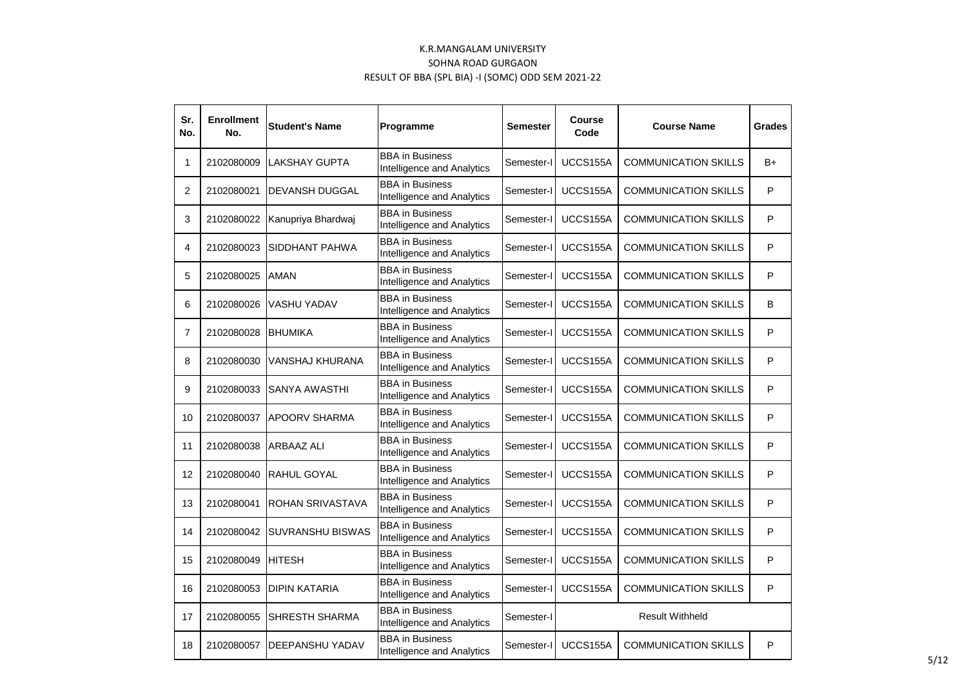| Sr.<br>No.     | <b>Enrollment</b><br>No. | <b>Student's Name</b>     | Programme                                            | <b>Semester</b> | <b>Course</b><br>Code | <b>Course Name</b>          | <b>Grades</b> |
|----------------|--------------------------|---------------------------|------------------------------------------------------|-----------------|-----------------------|-----------------------------|---------------|
| $\mathbf{1}$   | 2102080009               | LAKSHAY GUPTA             | <b>BBA in Business</b><br>Intelligence and Analytics | Semester-I      | UCCS155A              | <b>COMMUNICATION SKILLS</b> | B+            |
| $\overline{2}$ | 2102080021               | <b>DEVANSH DUGGAL</b>     | <b>BBA in Business</b><br>Intelligence and Analytics | Semester-I      | UCCS155A              | <b>COMMUNICATION SKILLS</b> | P             |
| 3              | 2102080022               | Kanupriya Bhardwaj        | <b>BBA</b> in Business<br>Intelligence and Analytics | Semester-I      | UCCS155A              | <b>COMMUNICATION SKILLS</b> | P             |
| 4              | 2102080023               | <b>SIDDHANT PAHWA</b>     | <b>BBA</b> in Business<br>Intelligence and Analytics | Semester-I      | UCCS155A              | <b>COMMUNICATION SKILLS</b> | P             |
| 5              | 2102080025               | AMAN                      | <b>BBA in Business</b><br>Intelligence and Analytics | Semester-I      | UCCS155A              | <b>COMMUNICATION SKILLS</b> | P             |
| 6              | 2102080026               | <b>VASHU YADAV</b>        | <b>BBA in Business</b><br>Intelligence and Analytics | Semester-I      | UCCS155A              | <b>COMMUNICATION SKILLS</b> | B             |
| $\overline{7}$ | 2102080028               | <b>BHUMIKA</b>            | <b>BBA in Business</b><br>Intelligence and Analytics | Semester-I      | UCCS155A              | <b>COMMUNICATION SKILLS</b> | P             |
| 8              | 2102080030               | VANSHAJ KHURANA           | <b>BBA in Business</b><br>Intelligence and Analytics | Semester-I      | UCCS155A              | <b>COMMUNICATION SKILLS</b> | P             |
| 9              | 2102080033               | <b>SANYA AWASTHI</b>      | <b>BBA</b> in Business<br>Intelligence and Analytics | Semester-I      | UCCS155A              | <b>COMMUNICATION SKILLS</b> | P             |
| 10             | 2102080037               | <b>APOORV SHARMA</b>      | <b>BBA in Business</b><br>Intelligence and Analytics | Semester-I      | UCCS155A              | <b>COMMUNICATION SKILLS</b> | P             |
| 11             | 2102080038               | <b>ARBAAZ ALI</b>         | <b>BBA in Business</b><br>Intelligence and Analytics | Semester-I      | UCCS155A              | <b>COMMUNICATION SKILLS</b> | P             |
| 12             | 2102080040               | <b>RAHUL GOYAL</b>        | <b>BBA in Business</b><br>Intelligence and Analytics | Semester-I      | UCCS155A              | <b>COMMUNICATION SKILLS</b> | Ρ             |
| 13             | 2102080041               | ROHAN SRIVASTAVA          | <b>BBA in Business</b><br>Intelligence and Analytics | Semester-I      | UCCS155A              | <b>COMMUNICATION SKILLS</b> | P             |
| 14             | 2102080042               | <b>I</b> SUVRANSHU BISWAS | <b>BBA</b> in Business<br>Intelligence and Analytics | Semester-I      | UCCS155A              | <b>COMMUNICATION SKILLS</b> | P             |
| 15             | 2102080049               | <b>HITESH</b>             | <b>BBA in Business</b><br>Intelligence and Analytics | Semester-I      | UCCS155A              | <b>COMMUNICATION SKILLS</b> | P             |
| 16             | 2102080053               | DIPIN KATARIA             | <b>BBA</b> in Business<br>Intelligence and Analytics | Semester-I      | UCCS155A              | <b>COMMUNICATION SKILLS</b> | P             |
| 17             | 2102080055               | <b>SHRESTH SHARMA</b>     | <b>BBA</b> in Business<br>Intelligence and Analytics | Semester-I      |                       | <b>Result Withheld</b>      |               |
| 18             | 2102080057               | <b>I</b> DEEPANSHU YADAV  | <b>BBA</b> in Business<br>Intelligence and Analytics | Semester-I      | UCCS155A              | <b>COMMUNICATION SKILLS</b> | P             |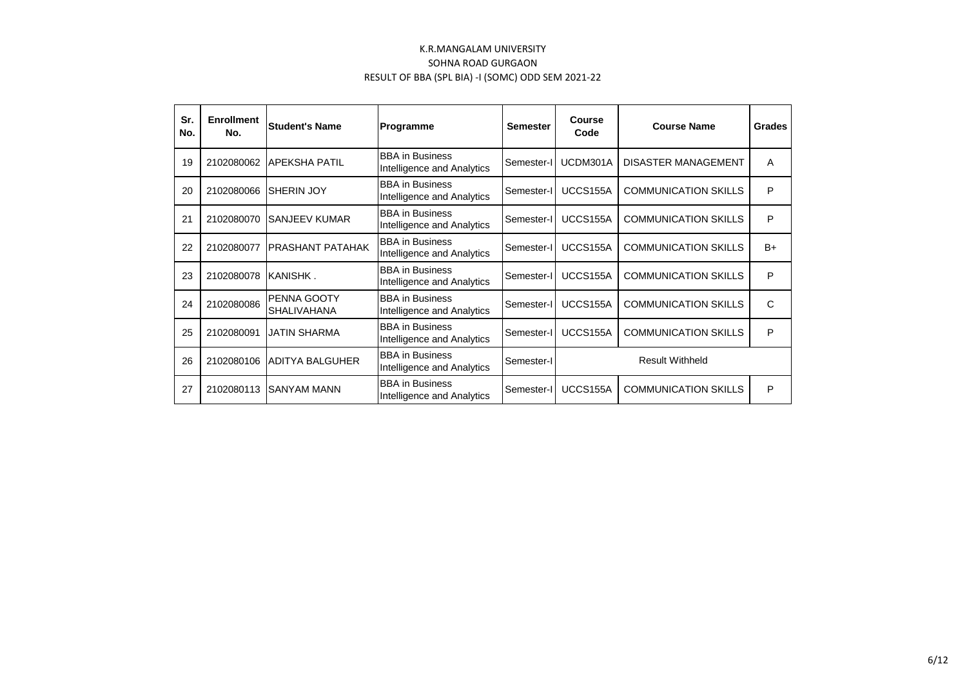| Sr.<br>No. | <b>Enrollment</b><br>No. | <b>Student's Name</b>             | Programme                                            | <b>Semester</b> | Course<br>Code | <b>Course Name</b>          | <b>Grades</b> |
|------------|--------------------------|-----------------------------------|------------------------------------------------------|-----------------|----------------|-----------------------------|---------------|
| 19         | 2102080062               | <b>APEKSHA PATIL</b>              | <b>BBA</b> in Business<br>Intelligence and Analytics | Semester-I      | UCDM301A       | <b>DISASTER MANAGEMENT</b>  | A             |
| 20         | 2102080066               | <b>SHERIN JOY</b>                 | <b>BBA</b> in Business<br>Intelligence and Analytics | Semester-I      | UCCS155A       | <b>COMMUNICATION SKILLS</b> | P             |
| 21         | 2102080070               | <b>ISANJEEV KUMAR</b>             | <b>BBA</b> in Business<br>Intelligence and Analytics | Semester-I      | UCCS155A       | <b>COMMUNICATION SKILLS</b> | P             |
| 22         | 2102080077               | <b>PRASHANT PATAHAK</b>           | <b>BBA</b> in Business<br>Intelligence and Analytics | Semester-I      | UCCS155A       | <b>COMMUNICATION SKILLS</b> | $B+$          |
| 23         | 2102080078               | KANISHK.                          | <b>BBA</b> in Business<br>Intelligence and Analytics | Semester-I      | UCCS155A       | <b>COMMUNICATION SKILLS</b> | P             |
| 24         | 2102080086               | PENNA GOOTY<br><b>SHALIVAHANA</b> | <b>BBA</b> in Business<br>Intelligence and Analytics | Semester-I      | UCCS155A       | <b>COMMUNICATION SKILLS</b> | C             |
| 25         | 2102080091               | JATIN SHARMA                      | <b>BBA</b> in Business<br>Intelligence and Analytics | Semester-I      | UCCS155A       | <b>COMMUNICATION SKILLS</b> | P             |
| 26         | 2102080106               | <b>ADITYA BALGUHER</b>            | <b>BBA</b> in Business<br>Intelligence and Analytics | Semester-I      |                | <b>Result Withheld</b>      |               |
| 27         | 2102080113               | <b>ISANYAM MANN</b>               | <b>BBA</b> in Business<br>Intelligence and Analytics | Semester-I      | UCCS155A       | <b>COMMUNICATION SKILLS</b> | P             |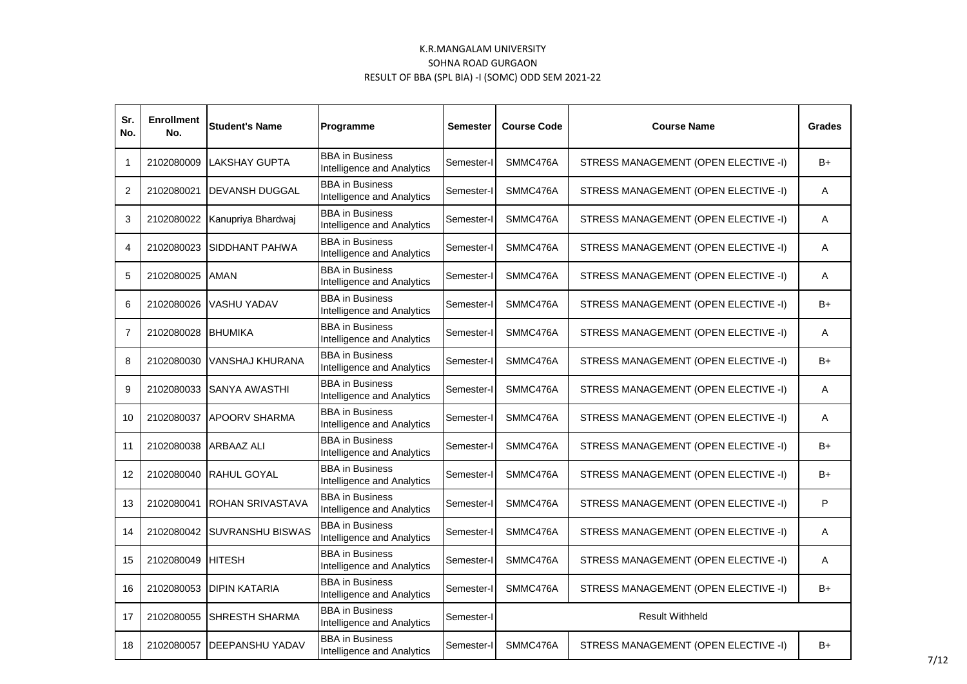| Sr.<br>No.     | <b>Enrollment</b><br>No. | <b>Student's Name</b>    | Programme                                            | <b>Semester</b> | <b>Course Code</b> | <b>Course Name</b>                   | <b>Grades</b> |
|----------------|--------------------------|--------------------------|------------------------------------------------------|-----------------|--------------------|--------------------------------------|---------------|
| $\mathbf 1$    | 2102080009               | <b>I</b> LAKSHAY GUPTA   | <b>BBA</b> in Business<br>Intelligence and Analytics | Semester-I      | SMMC476A           | STRESS MANAGEMENT (OPEN ELECTIVE -I) | B+            |
| 2              | 2102080021               | DEVANSH DUGGAL           | <b>BBA</b> in Business<br>Intelligence and Analytics | Semester-I      | SMMC476A           | STRESS MANAGEMENT (OPEN ELECTIVE -I) | Α             |
| 3              | 2102080022               | Kanupriya Bhardwaj       | <b>BBA</b> in Business<br>Intelligence and Analytics | Semester-I      | SMMC476A           | STRESS MANAGEMENT (OPEN ELECTIVE -I) | A             |
| 4              | 2102080023               | <b>SIDDHANT PAHWA</b>    | <b>BBA</b> in Business<br>Intelligence and Analytics | Semester-I      | SMMC476A           | STRESS MANAGEMENT (OPEN ELECTIVE -I) | A             |
| 5              | 2102080025 AMAN          |                          | <b>BBA</b> in Business<br>Intelligence and Analytics | Semester-I      | SMMC476A           | STRESS MANAGEMENT (OPEN ELECTIVE -I) | A             |
| 6              | 2102080026               | VASHU YADAV              | <b>BBA</b> in Business<br>Intelligence and Analytics | Semester-I      | SMMC476A           | STRESS MANAGEMENT (OPEN ELECTIVE -I) | B+            |
| $\overline{7}$ | 2102080028               | <b>BHUMIKA</b>           | <b>BBA</b> in Business<br>Intelligence and Analytics | Semester-I      | SMMC476A           | STRESS MANAGEMENT (OPEN ELECTIVE -I) | Α             |
| 8              | 2102080030               | <b>VANSHAJ KHURANA</b>   | <b>BBA</b> in Business<br>Intelligence and Analytics | Semester-I      | SMMC476A           | STRESS MANAGEMENT (OPEN ELECTIVE -I) | B+            |
| 9              | 2102080033               | <b>SANYA AWASTHI</b>     | <b>BBA</b> in Business<br>Intelligence and Analytics | Semester-I      | SMMC476A           | STRESS MANAGEMENT (OPEN ELECTIVE -I) | Α             |
| 10             | 2102080037               | <b>APOORV SHARMA</b>     | <b>BBA</b> in Business<br>Intelligence and Analytics | Semester-I      | SMMC476A           | STRESS MANAGEMENT (OPEN ELECTIVE -I) | Α             |
| 11             | 2102080038               | ARBAAZ ALI               | <b>BBA</b> in Business<br>Intelligence and Analytics | Semester-l      | SMMC476A           | STRESS MANAGEMENT (OPEN ELECTIVE -I) | B+            |
| 12             | 2102080040               | <b>RAHUL GOYAL</b>       | <b>BBA</b> in Business<br>Intelligence and Analytics | Semester-I      | SMMC476A           | STRESS MANAGEMENT (OPEN ELECTIVE -I) | B+            |
| 13             | 2102080041               | <b>ROHAN SRIVASTAVA</b>  | <b>BBA</b> in Business<br>Intelligence and Analytics | Semester-I      | SMMC476A           | STRESS MANAGEMENT (OPEN ELECTIVE -I) | P             |
| 14             | 2102080042               | <b>ISUVRANSHU BISWAS</b> | <b>BBA</b> in Business<br>Intelligence and Analytics | Semester-I      | SMMC476A           | STRESS MANAGEMENT (OPEN ELECTIVE -I) | Α             |
| 15             | 2102080049               | <b>HITESH</b>            | <b>BBA</b> in Business<br>Intelligence and Analytics | Semester-I      | SMMC476A           | STRESS MANAGEMENT (OPEN ELECTIVE -I) | A             |
| 16             | 2102080053               | <b>DIPIN KATARIA</b>     | <b>BBA</b> in Business<br>Intelligence and Analytics | Semester-I      | SMMC476A           | STRESS MANAGEMENT (OPEN ELECTIVE -I) | B+            |
| 17             | 2102080055               | <b>SHRESTH SHARMA</b>    | <b>BBA</b> in Business<br>Intelligence and Analytics | Semester-I      |                    | <b>Result Withheld</b>               |               |
| 18             | 2102080057               | <b>DEEPANSHU YADAV</b>   | <b>BBA</b> in Business<br>Intelligence and Analytics | Semester-I      | SMMC476A           | STRESS MANAGEMENT (OPEN ELECTIVE -I) | B+            |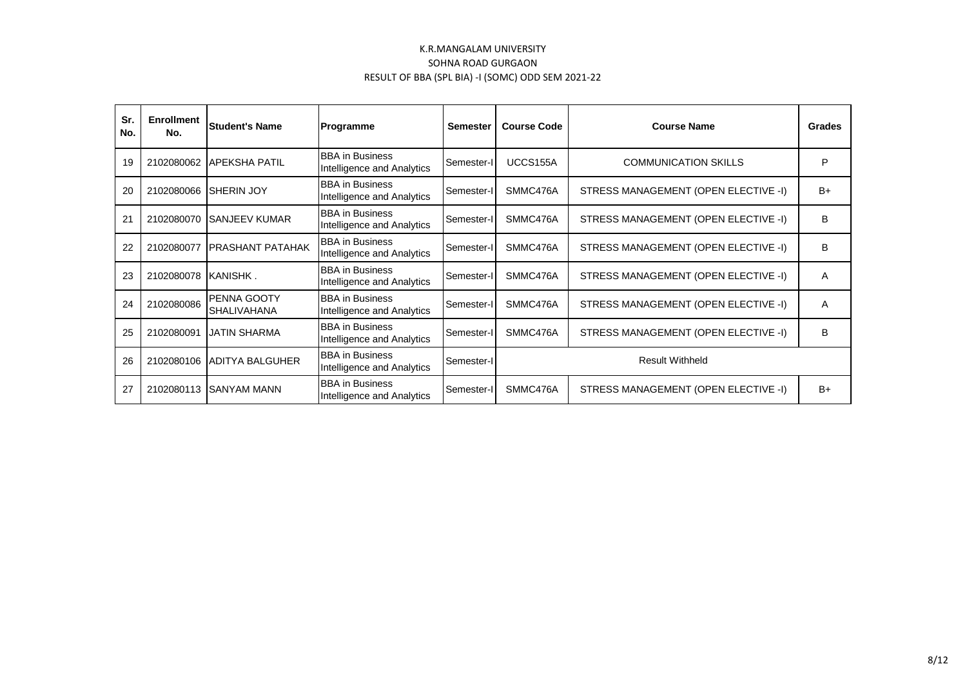| Sr.<br>No. | <b>Enrollment</b><br>No. | <b>Student's Name</b>             | Programme                                            | <b>Semester</b> | <b>Course Code</b> | <b>Course Name</b>                   | Grades |
|------------|--------------------------|-----------------------------------|------------------------------------------------------|-----------------|--------------------|--------------------------------------|--------|
| 19         | 2102080062               | <b>APEKSHA PATIL</b>              | <b>BBA</b> in Business<br>Intelligence and Analytics | Semester-I      | UCCS155A           | <b>COMMUNICATION SKILLS</b>          | P      |
| 20         |                          | 2102080066 SHERIN JOY             | <b>BBA</b> in Business<br>Intelligence and Analytics | Semester-I      | SMMC476A           | STRESS MANAGEMENT (OPEN ELECTIVE -I) | $B+$   |
| 21         | 2102080070               | <b>ISANJEEV KUMAR</b>             | <b>BBA</b> in Business<br>Intelligence and Analytics | Semester-I      | SMMC476A           | STRESS MANAGEMENT (OPEN ELECTIVE -I) | B      |
| 22         | 2102080077               | <b>IPRASHANT PATAHAK</b>          | <b>BBA</b> in Business<br>Intelligence and Analytics | Semester-I      | SMMC476A           | STRESS MANAGEMENT (OPEN ELECTIVE -I) | B      |
| 23         | 2102080078 KANISHK.      |                                   | <b>BBA</b> in Business<br>Intelligence and Analytics | Semester-I      | SMMC476A           | STRESS MANAGEMENT (OPEN ELECTIVE -I) | A      |
| 24         | 2102080086               | PENNA GOOTY<br><b>SHALIVAHANA</b> | <b>BBA</b> in Business<br>Intelligence and Analytics | Semester-I      | SMMC476A           | STRESS MANAGEMENT (OPEN ELECTIVE -I) | A      |
| 25         | 2102080091               | <b>JATIN SHARMA</b>               | <b>BBA</b> in Business<br>Intelligence and Analytics | Semester-I      | SMMC476A           | STRESS MANAGEMENT (OPEN ELECTIVE -I) | B      |
| 26         | 2102080106               | <b>JADITYA BALGUHER</b>           | <b>BBA</b> in Business<br>Intelligence and Analytics | Semester-I      |                    | <b>Result Withheld</b>               |        |
| 27         |                          | 2102080113 SANYAM MANN            | <b>BBA</b> in Business<br>Intelligence and Analytics | Semester-I      | SMMC476A           | STRESS MANAGEMENT (OPEN ELECTIVE -I) | $B+$   |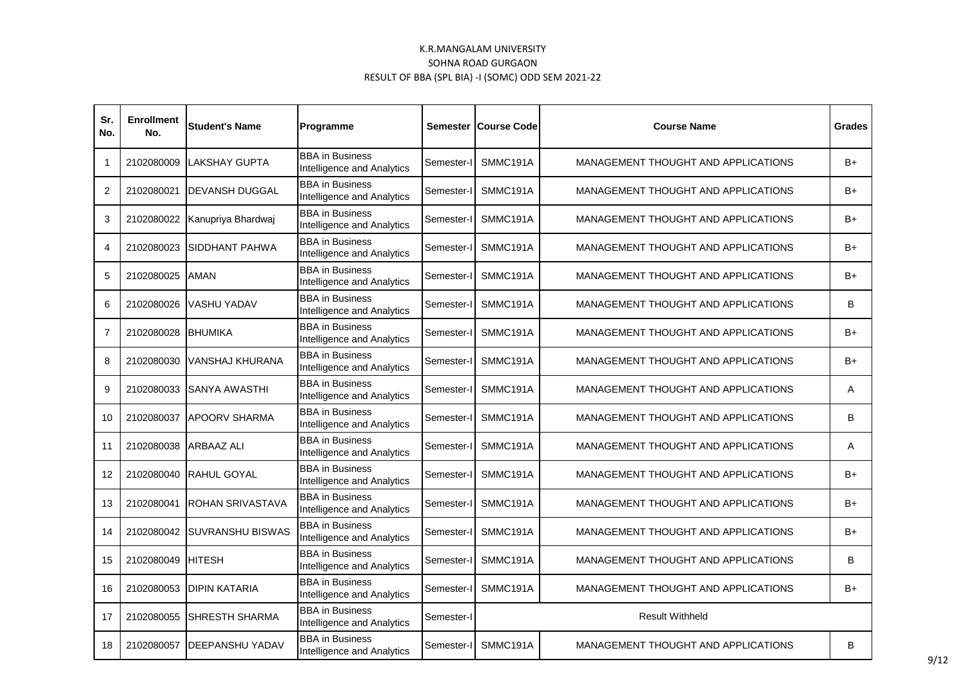| Sr.<br>No. | <b>Enrollment</b><br>No. | <b>Student's Name</b>       | Programme                                            | Semester   | <b>Course Code</b> | <b>Course Name</b>                         | Grades |
|------------|--------------------------|-----------------------------|------------------------------------------------------|------------|--------------------|--------------------------------------------|--------|
| 1          | 2102080009               | <b>ILAKSHAY GUPTA</b>       | <b>BBA</b> in Business<br>Intelligence and Analytics | Semester-I | SMMC191A           | MANAGEMENT THOUGHT AND APPLICATIONS        | B+     |
| 2          | 2102080021               | <b>IDEVANSH DUGGAL</b>      | <b>BBA</b> in Business<br>Intelligence and Analytics | Semester-I | SMMC191A           | <b>MANAGEMENT THOUGHT AND APPLICATIONS</b> | $B+$   |
| 3          | 2102080022               | Kanupriya Bhardwaj          | <b>BBA</b> in Business<br>Intelligence and Analytics | Semester-l | SMMC191A           | MANAGEMENT THOUGHT AND APPLICATIONS        | B+     |
| 4          | 2102080023               | <b>ISIDDHANT PAHWA</b>      | <b>BBA</b> in Business<br>Intelligence and Analytics | Semester-I | SMMC191A           | MANAGEMENT THOUGHT AND APPLICATIONS        | B+     |
| 5          | 2102080025               | <b>AMAN</b>                 | <b>BBA</b> in Business<br>Intelligence and Analytics | Semester-l | SMMC191A           | MANAGEMENT THOUGHT AND APPLICATIONS        | B+     |
| 6          |                          | 2102080026 VASHU YADAV      | <b>BBA</b> in Business<br>Intelligence and Analytics | Semester-I | SMMC191A           | MANAGEMENT THOUGHT AND APPLICATIONS        | B      |
| 7          | 2102080028 BHUMIKA       |                             | <b>BBA in Business</b><br>Intelligence and Analytics | Semester-I | SMMC191A           | MANAGEMENT THOUGHT AND APPLICATIONS        | $B+$   |
| 8          | 2102080030               | VANSHAJ KHURANA             | <b>BBA</b> in Business<br>Intelligence and Analytics | Semester-l | SMMC191A           | MANAGEMENT THOUGHT AND APPLICATIONS        | $B+$   |
| 9          | 2102080033               | ISANYA AWASTHI              | <b>BBA in Business</b><br>Intelligence and Analytics | Semester-l | SMMC191A           | MANAGEMENT THOUGHT AND APPLICATIONS        | Α      |
| 10         | 2102080037               | <b>APOORV SHARMA</b>        | <b>BBA</b> in Business<br>Intelligence and Analytics | Semester-l | SMMC191A           | <b>MANAGEMENT THOUGHT AND APPLICATIONS</b> | B      |
| 11         | 2102080038               | ARBAAZ ALI                  | <b>BBA</b> in Business<br>Intelligence and Analytics | Semester-l | SMMC191A           | MANAGEMENT THOUGHT AND APPLICATIONS        | Α      |
| 12         | 2102080040               | <b>RAHUL GOYAL</b>          | <b>BBA</b> in Business<br>Intelligence and Analytics | Semester-l | SMMC191A           | MANAGEMENT THOUGHT AND APPLICATIONS        | $B+$   |
| 13         | 2102080041               | ROHAN SRIVASTAVA            | <b>BBA</b> in Business<br>Intelligence and Analytics | Semester-I | SMMC191A           | MANAGEMENT THOUGHT AND APPLICATIONS        | B+     |
| 14         |                          | 2102080042 SUVRANSHU BISWAS | <b>BBA</b> in Business<br>Intelligence and Analytics | Semester-I | SMMC191A           | <b>MANAGEMENT THOUGHT AND APPLICATIONS</b> | B+     |
| 15         | 2102080049 HITESH        |                             | <b>BBA</b> in Business<br>Intelligence and Analytics | Semester-I | SMMC191A           | MANAGEMENT THOUGHT AND APPLICATIONS        | B      |
| 16         | 2102080053               | <b>IDIPIN KATARIA</b>       | <b>BBA</b> in Business<br>Intelligence and Analytics | Semester-I | SMMC191A           | MANAGEMENT THOUGHT AND APPLICATIONS        | B+     |
| 17         | 2102080055               | <b>SHRESTH SHARMA</b>       | <b>BBA</b> in Business<br>Intelligence and Analytics | Semester-l |                    | <b>Result Withheld</b>                     |        |
| 18         |                          | 2102080057 DEEPANSHU YADAV  | <b>BBA in Business</b><br>Intelligence and Analytics | Semester-I | SMMC191A           | MANAGEMENT THOUGHT AND APPLICATIONS        | B      |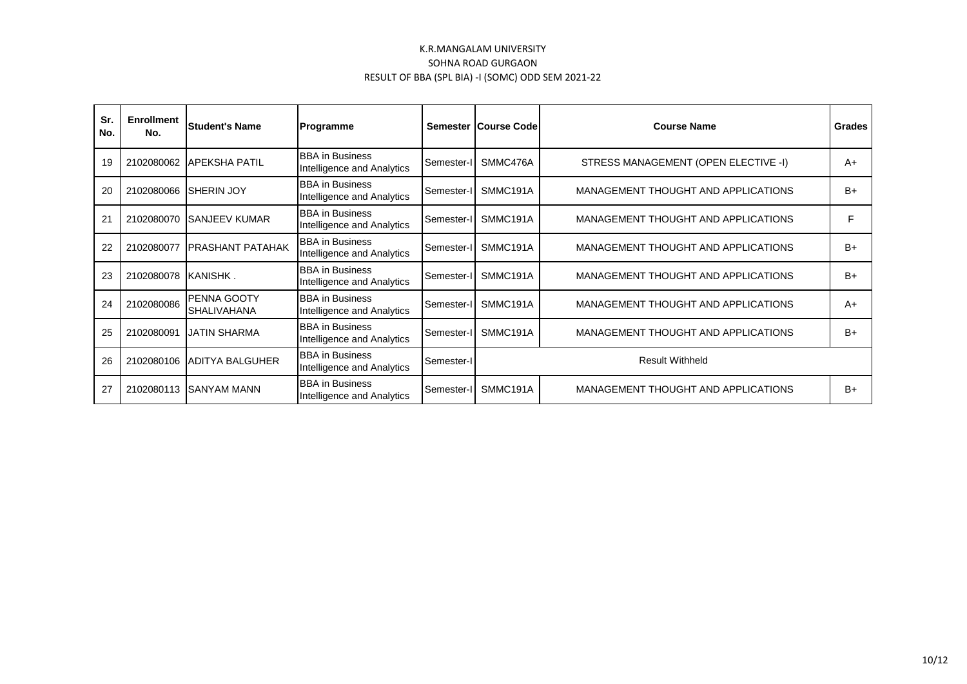| Sr.<br>No. | <b>Enrollment</b><br>No. | <b>Student's Name</b>                    | Programme                                            |            | Semester   Course Codel | <b>Course Name</b>                   | Grades |
|------------|--------------------------|------------------------------------------|------------------------------------------------------|------------|-------------------------|--------------------------------------|--------|
| 19         | 2102080062               | <b>APEKSHA PATIL</b>                     | <b>BBA</b> in Business<br>Intelligence and Analytics | Semester-I | SMMC476A                | STRESS MANAGEMENT (OPEN ELECTIVE -I) | A+     |
| 20         | 2102080066               | <b>ISHERIN JOY</b>                       | <b>BBA</b> in Business<br>Intelligence and Analytics | Semester-I | SMMC191A                | MANAGEMENT THOUGHT AND APPLICATIONS  | B+     |
| 21         | 2102080070               | <b>ISANJEEV KUMAR</b>                    | <b>BBA</b> in Business<br>Intelligence and Analytics | Semester-I | SMMC191A                | MANAGEMENT THOUGHT AND APPLICATIONS  | F      |
| 22         | 2102080077               | <b>PRASHANT PATAHAK</b>                  | <b>BBA</b> in Business<br>Intelligence and Analytics | Semester-I | SMMC191A                | MANAGEMENT THOUGHT AND APPLICATIONS  | $B+$   |
| 23         | 2102080078               | KANISHK.                                 | <b>BBA</b> in Business<br>Intelligence and Analytics | Semester-I | SMMC191A                | MANAGEMENT THOUGHT AND APPLICATIONS  | $B+$   |
| 24         | 2102080086               | <b>PENNA GOOTY</b><br><b>SHALIVAHANA</b> | <b>BBA</b> in Business<br>Intelligence and Analytics | Semester-I | SMMC191A                | MANAGEMENT THOUGHT AND APPLICATIONS  | $A+$   |
| 25         | 2102080091               | <b>JATIN SHARMA</b>                      | <b>BBA</b> in Business<br>Intelligence and Analytics | Semester-I | SMMC191A                | MANAGEMENT THOUGHT AND APPLICATIONS  | $B+$   |
| 26         | 2102080106               | <b>ADITYA BALGUHER</b>                   | <b>BBA</b> in Business<br>Intelligence and Analytics | Semester-I |                         | <b>Result Withheld</b>               |        |
| 27         | 2102080113               | <b>ISANYAM MANN</b>                      | <b>BBA</b> in Business<br>Intelligence and Analytics | Semester-I | SMMC191A                | MANAGEMENT THOUGHT AND APPLICATIONS  | $B+$   |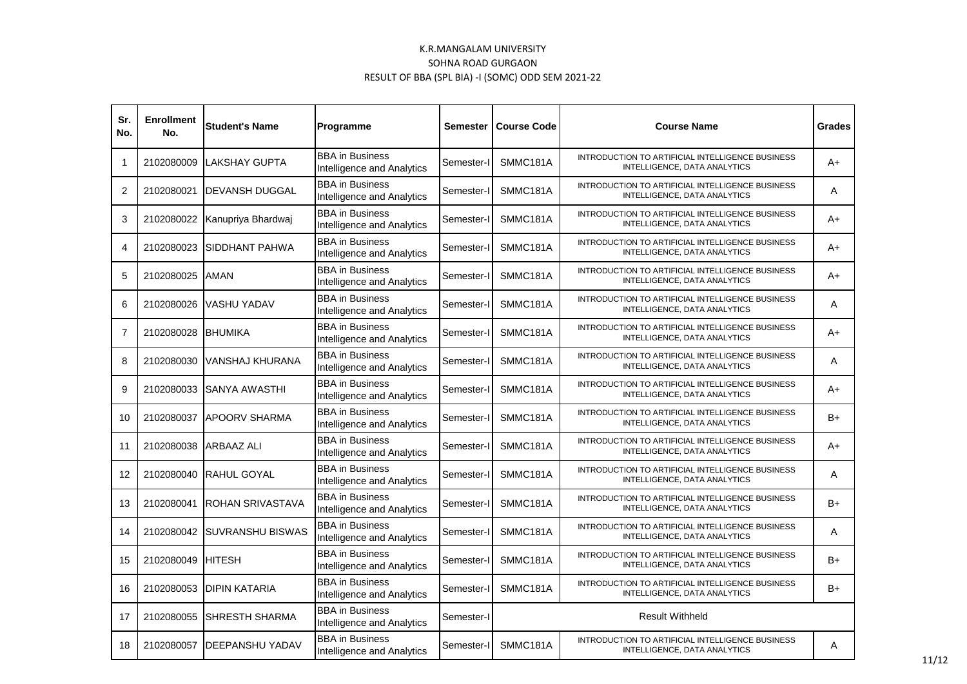| Sr.<br>No.     | <b>Enrollment</b><br>No. | <b>Student's Name</b>   | Programme                                            | <b>Semester</b> | <b>Course Code</b> | <b>Course Name</b>                                                               | <b>Grades</b> |
|----------------|--------------------------|-------------------------|------------------------------------------------------|-----------------|--------------------|----------------------------------------------------------------------------------|---------------|
| 1              | 2102080009               | <b>ILAKSHAY GUPTA</b>   | <b>BBA</b> in Business<br>Intelligence and Analytics | Semester-I      | SMMC181A           | INTRODUCTION TO ARTIFICIAL INTELLIGENCE BUSINESS<br>INTELLIGENCE, DATA ANALYTICS | A+            |
| $\overline{2}$ | 2102080021               | <b>DEVANSH DUGGAL</b>   | <b>BBA</b> in Business<br>Intelligence and Analytics | Semester-l      | SMMC181A           | INTRODUCTION TO ARTIFICIAL INTELLIGENCE BUSINESS<br>INTELLIGENCE, DATA ANALYTICS | Α             |
| 3              | 2102080022               | Kanupriya Bhardwaj      | <b>BBA</b> in Business<br>Intelligence and Analytics | Semester-l      | SMMC181A           | INTRODUCTION TO ARTIFICIAL INTELLIGENCE BUSINESS<br>INTELLIGENCE, DATA ANALYTICS | A+            |
| 4              | 2102080023               | <b>SIDDHANT PAHWA</b>   | <b>BBA</b> in Business<br>Intelligence and Analytics | Semester-l      | SMMC181A           | INTRODUCTION TO ARTIFICIAL INTELLIGENCE BUSINESS<br>INTELLIGENCE, DATA ANALYTICS | A+            |
| 5              | 2102080025               | <b>AMAN</b>             | <b>BBA</b> in Business<br>Intelligence and Analytics | Semester-l      | SMMC181A           | INTRODUCTION TO ARTIFICIAL INTELLIGENCE BUSINESS<br>INTELLIGENCE, DATA ANALYTICS | A+            |
| 6              | 2102080026               | VASHU YADAV             | <b>BBA</b> in Business<br>Intelligence and Analytics | Semester-I      | SMMC181A           | INTRODUCTION TO ARTIFICIAL INTELLIGENCE BUSINESS<br>INTELLIGENCE, DATA ANALYTICS | Α             |
| $\overline{7}$ | 2102080028               | <b>BHUMIKA</b>          | <b>BBA</b> in Business<br>Intelligence and Analytics | Semester-I      | SMMC181A           | INTRODUCTION TO ARTIFICIAL INTELLIGENCE BUSINESS<br>INTELLIGENCE, DATA ANALYTICS | A+            |
| 8              | 2102080030               | VANSHAJ KHURANA         | <b>BBA</b> in Business<br>Intelligence and Analytics | Semester-l      | SMMC181A           | INTRODUCTION TO ARTIFICIAL INTELLIGENCE BUSINESS<br>INTELLIGENCE, DATA ANALYTICS | Α             |
| 9              | 2102080033               | SANYA AWASTHI           | <b>BBA</b> in Business<br>Intelligence and Analytics | Semester-l      | SMMC181A           | INTRODUCTION TO ARTIFICIAL INTELLIGENCE BUSINESS<br>INTELLIGENCE, DATA ANALYTICS | A+            |
| 10             | 2102080037               | <b>APOORV SHARMA</b>    | <b>BBA</b> in Business<br>Intelligence and Analytics | Semester-l      | SMMC181A           | INTRODUCTION TO ARTIFICIAL INTELLIGENCE BUSINESS<br>INTELLIGENCE, DATA ANALYTICS | B+            |
| 11             | 2102080038               | <b>ARBAAZ ALI</b>       | <b>BBA</b> in Business<br>Intelligence and Analytics | Semester-l      | SMMC181A           | INTRODUCTION TO ARTIFICIAL INTELLIGENCE BUSINESS<br>INTELLIGENCE, DATA ANALYTICS | A+            |
| 12             | 2102080040               | <b>IRAHUL GOYAL</b>     | <b>BBA</b> in Business<br>Intelligence and Analytics | Semester-I      | SMMC181A           | INTRODUCTION TO ARTIFICIAL INTELLIGENCE BUSINESS<br>INTELLIGENCE, DATA ANALYTICS | A             |
| 13             | 2102080041               | <b>ROHAN SRIVASTAVA</b> | <b>BBA</b> in Business<br>Intelligence and Analytics | Semester-I      | SMMC181A           | INTRODUCTION TO ARTIFICIAL INTELLIGENCE BUSINESS<br>INTELLIGENCE, DATA ANALYTICS | $B+$          |
| 14             | 2102080042               | <b>SUVRANSHU BISWAS</b> | <b>BBA</b> in Business<br>Intelligence and Analytics | Semester-I      | SMMC181A           | INTRODUCTION TO ARTIFICIAL INTELLIGENCE BUSINESS<br>INTELLIGENCE, DATA ANALYTICS | Α             |
| 15             | 2102080049               | <b>HITESH</b>           | <b>BBA</b> in Business<br>Intelligence and Analytics | Semester-l      | SMMC181A           | INTRODUCTION TO ARTIFICIAL INTELLIGENCE BUSINESS<br>INTELLIGENCE, DATA ANALYTICS | B+            |
| 16             | 2102080053               | <b>DIPIN KATARIA</b>    | <b>BBA</b> in Business<br>Intelligence and Analytics | Semester-l      | SMMC181A           | INTRODUCTION TO ARTIFICIAL INTELLIGENCE BUSINESS<br>INTELLIGENCE, DATA ANALYTICS | B+            |
| 17             | 2102080055               | <b>SHRESTH SHARMA</b>   | <b>BBA</b> in Business<br>Intelligence and Analytics | Semester-l      |                    | <b>Result Withheld</b>                                                           |               |
| 18             | 2102080057               | <b>DEEPANSHU YADAV</b>  | <b>BBA</b> in Business<br>Intelligence and Analytics | Semester-I      | SMMC181A           | INTRODUCTION TO ARTIFICIAL INTELLIGENCE BUSINESS<br>INTELLIGENCE, DATA ANALYTICS | Α             |